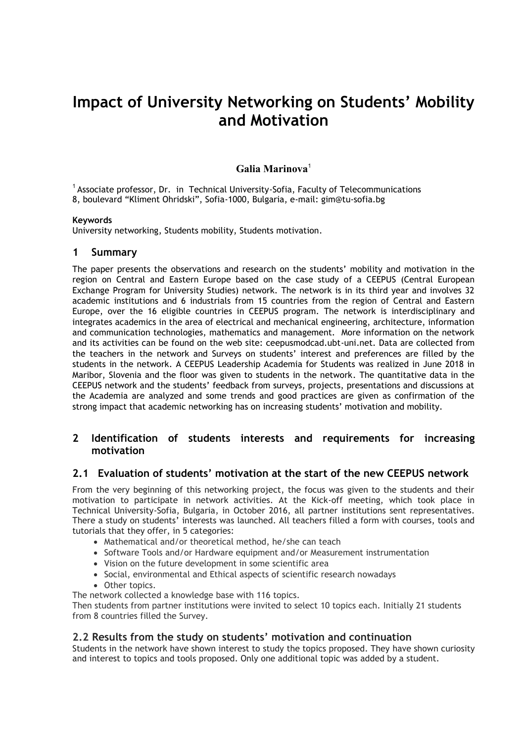# **Impact of University Networking on Students' Mobility and Motivation**

## **Galia Marinova**<sup>1</sup>

<sup>1</sup> Associate professor, Dr. in Technical University-Sofia, Faculty of Telecommunications 8, boulevard "Kliment Ohridski", Sofia-1000, Bulgaria, e-mail: gim@tu-sofia.bg

#### **Keywords**

University networking, Students mobility, Students motivation.

#### **1 Summary**

The paper presents the observations and research on the students' mobility and motivation in the region on Central and Eastern Europe based on the case study of a CEEPUS (Central European Exchange Program for University Studies) network. The network is in its third year and involves 32 academic institutions and 6 industrials from 15 countries from the region of Central and Eastern Europe, over the 16 eligible countries in CEEPUS program. The network is interdisciplinary and integrates academics in the area of electrical and mechanical engineering, architecture, information and communication technologies, mathematics and management. More information on the network and its activities can be found on the web site: ceepusmodcad.ubt-uni.net. Data are collected from the teachers in the network and Surveys on students' interest and preferences are filled by the students in the network. A CEEPUS Leadership Academia for Students was realized in June 2018 in Maribor, Slovenia and the floor was given to students in the network. The quantitative data in the CEEPUS network and the students' feedback from surveys, projects, presentations and discussions at the Academia are analyzed and some trends and good practices are given as confirmation of the strong impact that academic networking has on increasing students' motivation and mobility.

## **2 Identification of students interests and requirements for increasing motivation**

### **2.1 Evaluation of students' motivation at the start of the new CEEPUS network**

From the very beginning of this networking project, the focus was given to the students and their motivation to participate in network activities. At the Kick-off meeting, which took place in Technical University-Sofia, Bulgaria, in October 2016, all partner institutions sent representatives. There a study on students' interests was launched. All teachers filled a form with courses, tools and tutorials that they offer, in 5 categories:

- Mathematical and/or theoretical method, he/she can teach
- Software Tools and/or Hardware equipment and/or Measurement instrumentation
- Vision on the future development in some scientific area
- Social, environmental and Ethical aspects of scientific research nowadays
- Other topics.

The network collected a knowledge base with 116 topics.

Then students from partner institutions were invited to select 10 topics each. Initially 21 students from 8 countries filled the Survey.

#### **2.2 Results from the study on students' motivation and continuation**

Students in the network have shown interest to study the topics proposed. They have shown curiosity and interest to topics and tools proposed. Only one additional topic was added by a student.